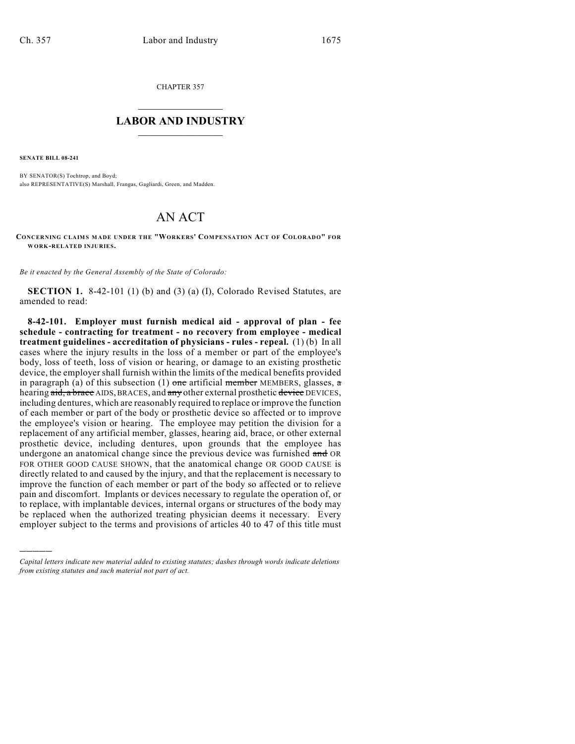CHAPTER 357

## $\overline{\phantom{a}}$  . The set of the set of the set of the set of the set of the set of the set of the set of the set of the set of the set of the set of the set of the set of the set of the set of the set of the set of the set o **LABOR AND INDUSTRY**  $\frac{1}{\sqrt{2}}$  ,  $\frac{1}{\sqrt{2}}$  ,  $\frac{1}{\sqrt{2}}$  ,  $\frac{1}{\sqrt{2}}$  ,  $\frac{1}{\sqrt{2}}$  ,  $\frac{1}{\sqrt{2}}$

**SENATE BILL 08-241**

)))))

BY SENATOR(S) Tochtrop, and Boyd; also REPRESENTATIVE(S) Marshall, Frangas, Gagliardi, Green, and Madden.

## AN ACT

**CONCERNING CLAIMS M ADE UNDER THE "WORKERS' COM PENSATION ACT OF COLORADO" FOR WORK-RELATED INJURIES.**

*Be it enacted by the General Assembly of the State of Colorado:*

**SECTION 1.** 8-42-101 (1) (b) and (3) (a) (I), Colorado Revised Statutes, are amended to read:

**8-42-101. Employer must furnish medical aid - approval of plan - fee schedule - contracting for treatment - no recovery from employee - medical treatment guidelines - accreditation of physicians - rules - repeal.** (1) (b) In all cases where the injury results in the loss of a member or part of the employee's body, loss of teeth, loss of vision or hearing, or damage to an existing prosthetic device, the employer shall furnish within the limits of the medical benefits provided in paragraph (a) of this subsection (1) one artificial member MEMBERS, glasses,  $\alpha$ hearing aid, a brace AIDS, BRACES, and any other external prosthetic device DEVICES, including dentures, which are reasonably required to replace or improve the function of each member or part of the body or prosthetic device so affected or to improve the employee's vision or hearing. The employee may petition the division for a replacement of any artificial member, glasses, hearing aid, brace, or other external prosthetic device, including dentures, upon grounds that the employee has undergone an anatomical change since the previous device was furnished and OR FOR OTHER GOOD CAUSE SHOWN, that the anatomical change OR GOOD CAUSE is directly related to and caused by the injury, and that the replacement is necessary to improve the function of each member or part of the body so affected or to relieve pain and discomfort. Implants or devices necessary to regulate the operation of, or to replace, with implantable devices, internal organs or structures of the body may be replaced when the authorized treating physician deems it necessary. Every employer subject to the terms and provisions of articles 40 to 47 of this title must

*Capital letters indicate new material added to existing statutes; dashes through words indicate deletions from existing statutes and such material not part of act.*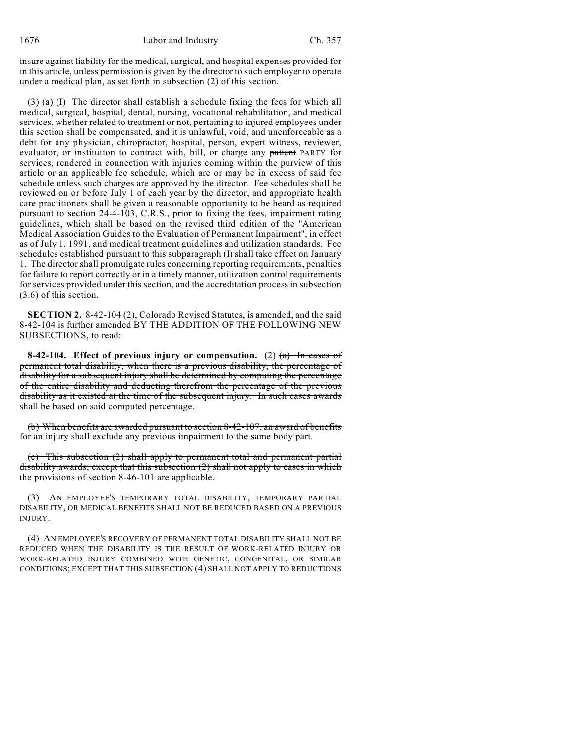insure against liability for the medical, surgical, and hospital expenses provided for in this article, unless permission is given by the director to such employer to operate under a medical plan, as set forth in subsection (2) of this section.

(3) (a) (I) The director shall establish a schedule fixing the fees for which all medical, surgical, hospital, dental, nursing, vocational rehabilitation, and medical services, whether related to treatment or not, pertaining to injured employees under this section shall be compensated, and it is unlawful, void, and unenforceable as a debt for any physician, chiropractor, hospital, person, expert witness, reviewer, evaluator, or institution to contract with, bill, or charge any patient PARTY for services, rendered in connection with injuries coming within the purview of this article or an applicable fee schedule, which are or may be in excess of said fee schedule unless such charges are approved by the director. Fee schedules shall be reviewed on or before July 1 of each year by the director, and appropriate health care practitioners shall be given a reasonable opportunity to be heard as required pursuant to section 24-4-103, C.R.S., prior to fixing the fees, impairment rating guidelines, which shall be based on the revised third edition of the "American Medical Association Guides to the Evaluation of Permanent Impairment", in effect as of July 1, 1991, and medical treatment guidelines and utilization standards. Fee schedules established pursuant to this subparagraph (I) shall take effect on January 1. The director shall promulgate rules concerning reporting requirements, penalties for failure to report correctly or in a timely manner, utilization control requirements for services provided under this section, and the accreditation process in subsection (3.6) of this section.

**SECTION 2.** 8-42-104 (2), Colorado Revised Statutes, is amended, and the said 8-42-104 is further amended BY THE ADDITION OF THE FOLLOWING NEW SUBSECTIONS, to read:

**8-42-104. Effect of previous injury or compensation.** (2) (a) In cases of permanent total disability, when there is a previous disability, the percentage of disability for a subsequent injury shall be determined by computing the percentage of the entire disability and deducting therefrom the percentage of the previous disability as it existed at the time of the subsequent injury. In such cases awards shall be based on said computed percentage.

(b) When benefits are awarded pursuant to section 8-42-107, an award of benefits for an injury shall exclude any previous impairment to the same body part.

(c) This subsection (2) shall apply to permanent total and permanent partial disability awards; except that this subsection (2) shall not apply to cases in which the provisions of section 8-46-101 are applicable.

(3) AN EMPLOYEE'S TEMPORARY TOTAL DISABILITY, TEMPORARY PARTIAL DISABILITY, OR MEDICAL BENEFITS SHALL NOT BE REDUCED BASED ON A PREVIOUS INJURY.

(4) AN EMPLOYEE'S RECOVERY OF PERMANENT TOTAL DISABILITY SHALL NOT BE REDUCED WHEN THE DISABILITY IS THE RESULT OF WORK-RELATED INJURY OR WORK-RELATED INJURY COMBINED WITH GENETIC, CONGENITAL, OR SIMILAR CONDITIONS; EXCEPT THAT THIS SUBSECTION (4) SHALL NOT APPLY TO REDUCTIONS